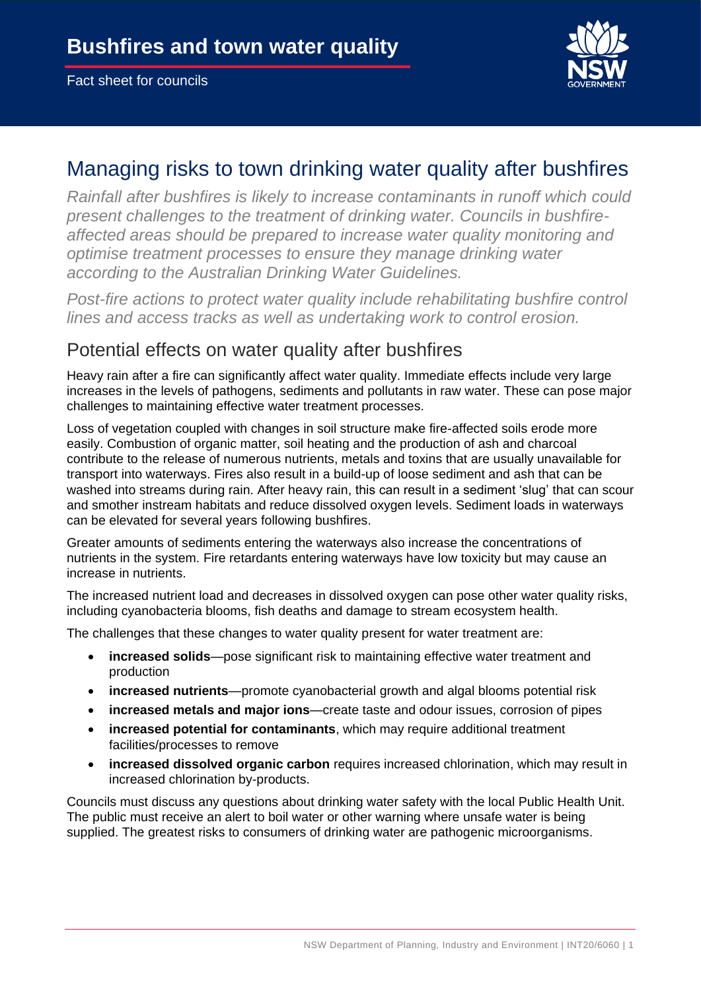

# Managing risks to town drinking water quality after bushfires

*Rainfall after bushfires is likely to increase contaminants in runoff which could present challenges to the treatment of drinking water. Councils in bushfireaffected areas should be prepared to increase water quality monitoring and optimise treatment processes to ensure they manage drinking water according to the Australian Drinking Water Guidelines.*

*Post-fire actions to protect water quality include rehabilitating bushfire control lines and access tracks as well as undertaking work to control erosion.*

## Potential effects on water quality after bushfires

Heavy rain after a fire can significantly affect water quality. Immediate effects include very large increases in the levels of pathogens, sediments and pollutants in raw water. These can pose major challenges to maintaining effective water treatment processes.

Loss of vegetation coupled with changes in soil structure make fire-affected soils erode more easily. Combustion of organic matter, soil heating and the production of ash and charcoal contribute to the release of numerous nutrients, metals and toxins that are usually unavailable for transport into waterways. Fires also result in a build-up of loose sediment and ash that can be washed into streams during rain. After heavy rain, this can result in a sediment 'slug' that can scour and smother instream habitats and reduce dissolved oxygen levels. Sediment loads in waterways can be elevated for several years following bushfires.

Greater amounts of sediments entering the waterways also increase the concentrations of nutrients in the system. Fire retardants entering waterways have low toxicity but may cause an increase in nutrients.

The increased nutrient load and decreases in dissolved oxygen can pose other water quality risks, including cyanobacteria blooms, fish deaths and damage to stream ecosystem health.

The challenges that these changes to water quality present for water treatment are:

- **increased solids**—pose significant risk to maintaining effective water treatment and production
- **increased nutrients**—promote cyanobacterial growth and algal blooms potential risk
- **increased metals and major ions**—create taste and odour issues, corrosion of pipes
- **increased potential for contaminants**, which may require additional treatment facilities/processes to remove
- **increased dissolved organic carbon** requires increased chlorination, which may result in increased chlorination by-products.

Councils must discuss any questions about drinking water safety with the local Public Health Unit. The public must receive an alert to boil water or other warning where unsafe water is being supplied. The greatest risks to consumers of drinking water are pathogenic microorganisms.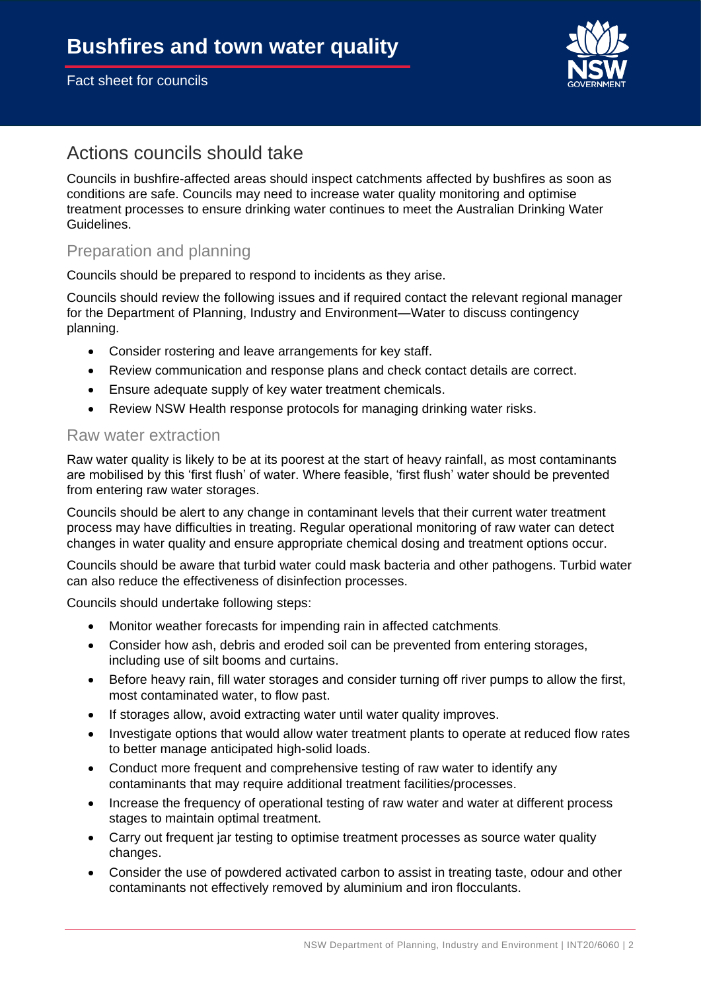

## Actions councils should take

Councils in bushfire-affected areas should inspect catchments affected by bushfires as soon as conditions are safe. Councils may need to increase water quality monitoring and optimise treatment processes to ensure drinking water continues to meet the Australian Drinking Water Guidelines.

### Preparation and planning

Councils should be prepared to respond to incidents as they arise.

Councils should review the following issues and if required contact the relevant regional manager for the Department of Planning, Industry and Environment—Water to discuss contingency planning.

- Consider rostering and leave arrangements for key staff.
- Review communication and response plans and check contact details are correct.
- Ensure adequate supply of key water treatment chemicals.
- Review NSW Health response protocols for managing drinking water risks.

#### Raw water extraction

Raw water quality is likely to be at its poorest at the start of heavy rainfall, as most contaminants are mobilised by this 'first flush' of water. Where feasible, 'first flush' water should be prevented from entering raw water storages.

Councils should be alert to any change in contaminant levels that their current water treatment process may have difficulties in treating. Regular operational monitoring of raw water can detect changes in water quality and ensure appropriate chemical dosing and treatment options occur.

Councils should be aware that turbid water could mask bacteria and other pathogens. Turbid water can also reduce the effectiveness of disinfection processes.

Councils should undertake following steps:

- Monitor weather forecasts for impending rain in affected catchments.
- Consider how ash, debris and eroded soil can be prevented from entering storages, including use of silt booms and curtains.
- Before heavy rain, fill water storages and consider turning off river pumps to allow the first, most contaminated water, to flow past.
- If storages allow, avoid extracting water until water quality improves.
- Investigate options that would allow water treatment plants to operate at reduced flow rates to better manage anticipated high-solid loads.
- Conduct more frequent and comprehensive testing of raw water to identify any contaminants that may require additional treatment facilities/processes.
- Increase the frequency of operational testing of raw water and water at different process stages to maintain optimal treatment.
- Carry out frequent jar testing to optimise treatment processes as source water quality changes.
- Consider the use of powdered activated carbon to assist in treating taste, odour and other contaminants not effectively removed by aluminium and iron flocculants.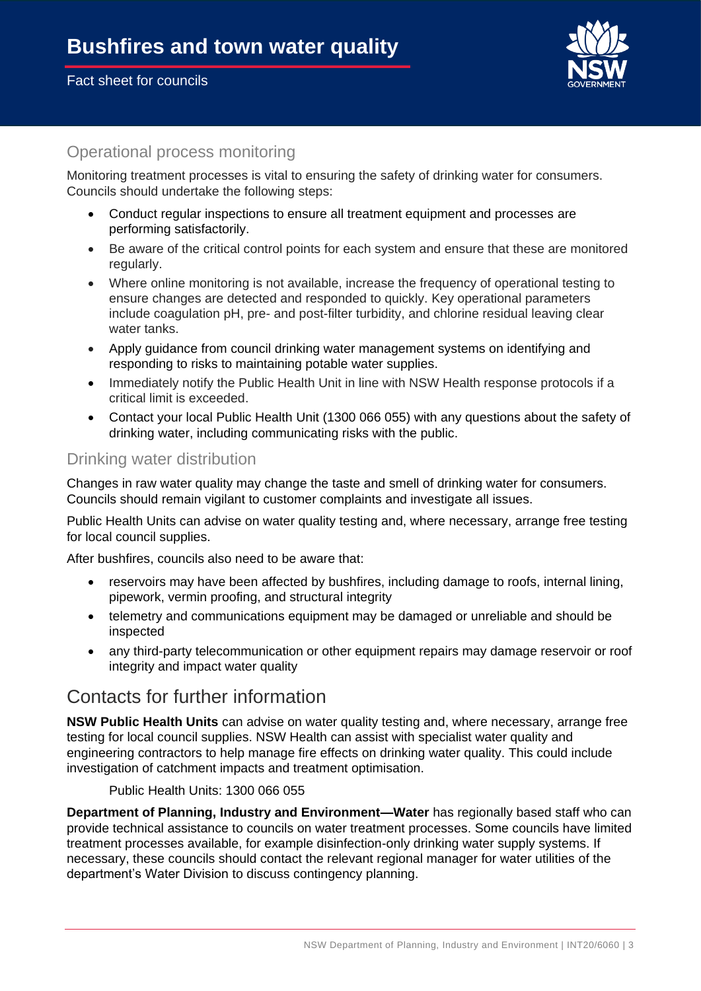

### Operational process monitoring

Monitoring treatment processes is vital to ensuring the safety of drinking water for consumers. Councils should undertake the following steps:

- Conduct regular inspections to ensure all treatment equipment and processes are performing satisfactorily.
- Be aware of the critical control points for each system and ensure that these are monitored regularly.
- Where online monitoring is not available, increase the frequency of operational testing to ensure changes are detected and responded to quickly. Key operational parameters include coagulation pH, pre- and post-filter turbidity, and chlorine residual leaving clear water tanks.
- Apply guidance from council drinking water management systems on identifying and responding to risks to maintaining potable water supplies.
- Immediately notify the Public Health Unit in line with NSW Health response protocols if a critical limit is exceeded.
- Contact your local Public Health Unit (1300 066 055) with any questions about the safety of drinking water, including communicating risks with the public.

#### Drinking water distribution

Changes in raw water quality may change the taste and smell of drinking water for consumers. Councils should remain vigilant to customer complaints and investigate all issues.

Public Health Units can advise on water quality testing and, where necessary, arrange free testing for local council supplies.

After bushfires, councils also need to be aware that:

- reservoirs may have been affected by bushfires, including damage to roofs, internal lining, pipework, vermin proofing, and structural integrity
- telemetry and communications equipment may be damaged or unreliable and should be inspected
- any third-party telecommunication or other equipment repairs may damage reservoir or roof integrity and impact water quality

## Contacts for further information

**NSW Public Health Units** can advise on water quality testing and, where necessary, arrange free testing for local council supplies. NSW Health can assist with specialist water quality and engineering contractors to help manage fire effects on drinking water quality. This could include investigation of catchment impacts and treatment optimisation.

Public Health Units: 1300 066 055

**Department of Planning, Industry and Environment—Water** has regionally based staff who can provide technical assistance to councils on water treatment processes. Some councils have limited treatment processes available, for example disinfection-only drinking water supply systems. If necessary, these councils should contact the relevant regional manager for water utilities of the department's Water Division to discuss contingency planning.